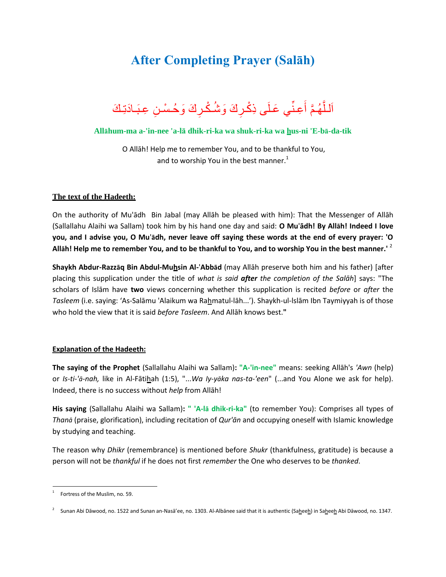## **After Completing Prayer (Salāh)**



## **Allāhum-ma a-'in-nee 'a-lā dhik-ri-ka wa shuk-ri-ka wa hus-ni 'E-bā-da-tik**

O Allāh! Help me to remember You, and to be thankful to You, and to worship You in the best manner. $<sup>1</sup>$ </sup>

## **The text of the Hadeeth:**

On the authority of Mu'ādh Bin Jabal (may Allāh be pleased with him): That the Messenger of Allāh (Sallallahu Alaihi wa Sallam) took him by his hand one day and said: **O Mu**'**ādh! By Allāh! Indeed I love you, and I advise you, O Mu**'**ādh, never leave off saying these words at the end of every prayer: 'O Allāh! Help me to remember You, and to be thankful to You, and to worship You in the best manner.'** <sup>2</sup>

**Shaykh Abdur-Razzāq Bin Abdul-Muhsin Al-**'**Abbād** (may Allāh preserve both him and his father) [after placing this supplication under the title of *what is said after the completion of the Salāh*] says: "The scholars of Islām have **two** views concerning whether this supplication is recited *before* or *after* the Tasleem (i.e. saying: 'As-Salāmu 'Alaikum wa Rahmatul-lāh...'). Shaykh-ul-Islām Ibn Taymiyyah is of those who hold the view that it is said *before Tasleem*. And Allāh knows best.**"**

## **Explanation of the Hadeeth:**

**The saying of the Prophet** (Sallallahu Alaihi wa Sallam)**: "A-'in-nee"** means: seeking Allāh's *'Awn* (help) or *Is-ti-'ā-nah,* like in Al-Fātihah (1:5), "...*Wa Iy-yāka nas-ta-'een*" (...and You Alone we ask for help). Indeed, there is no success without *help* from Allāh!

**His saying** (Sallallahu Alaihi wa Sallam)**: " 'A-lā dhik-ri-ka"** (to remember You): Comprises all types of *Thanā* (praise, glorification), including recitation of *Qur'ān* and occupying oneself with Islamic knowledge by studying and teaching.

The reason why *Dhikr* (remembrance) is mentioned before *Shukr* (thankfulness, gratitude) is because a person will not be *thankful* if he does not first *remember* the One who deserves to be *thanked*.

 $\ddot{\phantom{a}}$ 

<sup>1</sup> Fortress of the Muslim, no. 59.

<sup>&</sup>lt;sup>2</sup> Sunan Abi Dāwood, no. 1522 and Sunan an-Nasā'ee, no. 1303. Al-Albānee said that it is authentic (Sa<u>h</u>ee<u>h</u>) in Sa<u>h</u>ee<u>h</u> Abi Dāwood, no. 1347.